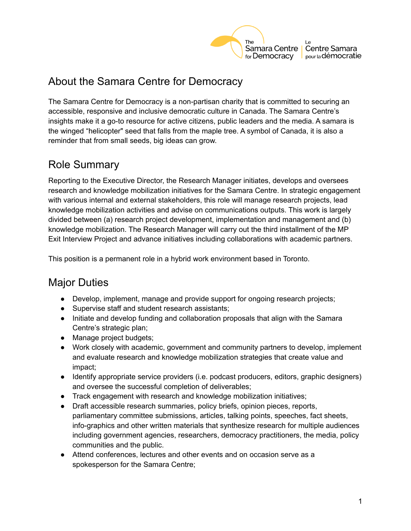

## About the Samara Centre for Democracy

The Samara Centre for Democracy is a non-partisan charity that is committed to securing an accessible, responsive and inclusive democratic culture in Canada. The Samara Centre's insights make it a go-to resource for active citizens, public leaders and the media. A samara is the winged "helicopter" seed that falls from the maple tree. A symbol of Canada, it is also a reminder that from small seeds, big ideas can grow.

## Role Summary

Reporting to the Executive Director, the Research Manager initiates, develops and oversees research and knowledge mobilization initiatives for the Samara Centre. In strategic engagement with various internal and external stakeholders, this role will manage research projects, lead knowledge mobilization activities and advise on communications outputs. This work is largely divided between (a) research project development, implementation and management and (b) knowledge mobilization. The Research Manager will carry out the third installment of the MP Exit Interview Project and advance initiatives including collaborations with academic partners.

This position is a permanent role in a hybrid work environment based in Toronto.

# Major Duties

- Develop, implement, manage and provide support for ongoing research projects;
- Supervise staff and student research assistants;
- Initiate and develop funding and collaboration proposals that align with the Samara Centre's strategic plan;
- Manage project budgets;
- Work closely with academic, government and community partners to develop, implement and evaluate research and knowledge mobilization strategies that create value and impact;
- Identify appropriate service providers (i.e. podcast producers, editors, graphic designers) and oversee the successful completion of deliverables;
- Track engagement with research and knowledge mobilization initiatives;
- Draft accessible research summaries, policy briefs, opinion pieces, reports, parliamentary committee submissions, articles, talking points, speeches, fact sheets, info-graphics and other written materials that synthesize research for multiple audiences including government agencies, researchers, democracy practitioners, the media, policy communities and the public.
- Attend conferences, lectures and other events and on occasion serve as a spokesperson for the Samara Centre;